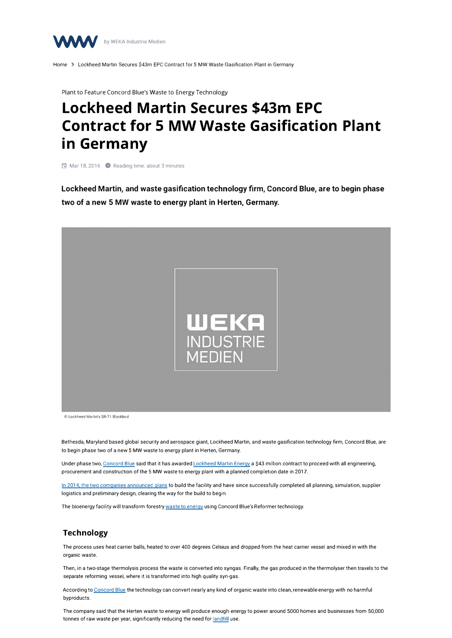

Home > Lockheed Martin Secures \$43m EPC Contract for 5 MW Waste Gasification Plant in Germany

Plant to Feature Concord Blue's Waste to Energy Technology

# **Lockheed Martin Secures \$43m EPC Contract for 5 MW Waste Gasification Plant in Germany**

61 Mar 18, 2016 **0** Reading time: about 3 minutes

**Lockheed Martin, and waste gasiflcation technology firm, Concord Blue, are to begin phase two of a new 5 MW waste to energy plant in Herten, Germany.** 



**C, Lockheed Martin's SR·71 Blackbird** 

Bethesda, Maryland based global security and aerospace giant, Lockheed Martin, and waste gasification technology firm, Concord Blue, are to begin phase two of a new 5 MW waste to energy plant in Herten, Germany.

Under phase two, Concord Blue said that it has awarded Lockheed Martin Energy a \$43 million contract to proceed with all engineering, procurement and construction of the 5 MW waste to energy plant with a planned completion date in 2017.

In 2014, the two companies announced plans to build the facility and have since successfully completed all planning, simulation, supplier logistics and preliminary design, clearing the way for the build to begin.

The bioenergy facility will transform forestry waste to energy using Concord Blue's Reformer technology.

# **Technology**

The process uses heat carrier balls, heated to over 400 degrees Celsius and dropped from the heat carrier vessel and mixed in with the organic waste.

Then, in a two-stage thermolysis process the waste is converted into syngas. Finally, the gas produced in the thermolyser then travels to the separate reforming vessel, where it is transformed into high quality syn-gas.

According to Concord Blue the technology can convert nearly any kind of organic waste into clean, renewable energy with no harmful byproducts.

The company said that the Herten waste to energy will produce enough energy to power around 5000 homes and businesses from 50,000 tonnes of raw waste per year, significantly reducing the need for landfill use.